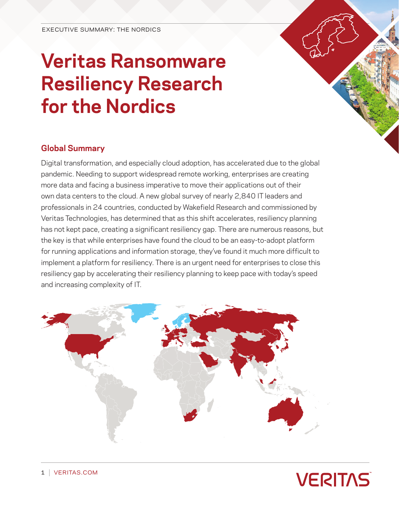# **Veritas Ransomware Resiliency Research for the Nordics**

## **Global Summary**

Digital transformation, and especially cloud adoption, has accelerated due to the global pandemic. Needing to support widespread remote working, enterprises are creating more data and facing a business imperative to move their applications out of their own data centers to the cloud. A new global survey of nearly 2,840 IT leaders and professionals in 24 countries, conducted by Wakefield Research and commissioned by Veritas Technologies, has determined that as this shift accelerates, resiliency planning has not kept pace, creating a significant resiliency gap. There are numerous reasons, but the key is that while enterprises have found the cloud to be an easy-to-adopt platform for running applications and information storage, they've found it much more difficult to implement a platform for resiliency. There is an urgent need for enterprises to close this resiliency gap by accelerating their resiliency planning to keep pace with today's speed and increasing complexity of IT.



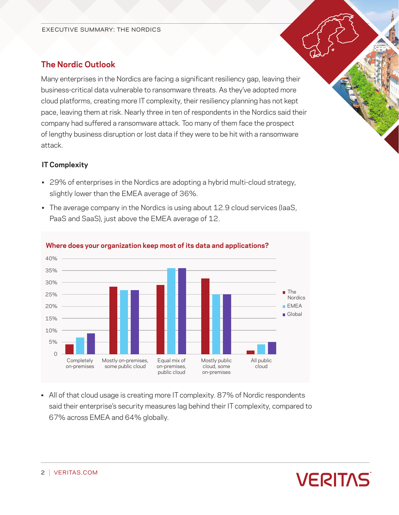# **The Nordic Outlook**

Many enterprises in the Nordics are facing a significant resiliency gap, leaving their business-critical data vulnerable to ransomware threats. As they've adopted more cloud platforms, creating more IT complexity, their resiliency planning has not kept pace, leaving them at risk. Nearly three in ten of respondents in the Nordics said their company had suffered a ransomware attack. Too many of them face the prospect of lengthy business disruption or lost data if they were to be hit with a ransomware attack.

### **IT Complexity**

- 29% of enterprises in the Nordics are adopting a hybrid multi-cloud strategy, slightly lower than the EMEA average of 36%.
- The average company in the Nordics is using about 12.9 cloud services (laaS, PaaS and SaaS), just above the EMEA average of 12.



### **Where does your organization keep most of its data and applications?**

• All of that cloud usage is creating more IT complexity. 87% of Nordic respondents said their enterprise's security measures lag behind their IT complexity, compared to 67% across EMEA and 64% globally.

**VERITAS**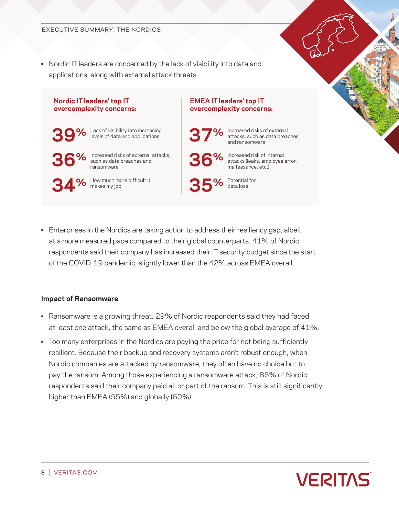• Nordic IT leaders are concerned by the lack of visibility into data and applications, along with external attack threats.



• Enterprises in the Nordics are taking action to address their resiliency gap, albeit at a more measured pace compared to their global counterparts. 41% of Nordic respondents said their company has increased their IT security budget since the start of the COVID-19 pandemic, slightly lower than the 42% across EMEA overall.

#### **Impact of Ransomware**

- Ransomware is a growing threat. 29% of Nordic respondents said they had faced at least one attack, the same as EMEA overall and below the global average of 41%.
- Too many enterprises in the Nordics are paying the price for not being sufficiently resilient. Because their backup and recovery systems aren't robust enough, when Nordic companies are attacked by ransomware, they often have no choice but to pay the ransom. Among those experiencing a ransomware attack, 86% of Nordic respondents said their company paid all or part of the ransom. This is still significantly higher than EMEA (55%) and globally (60%).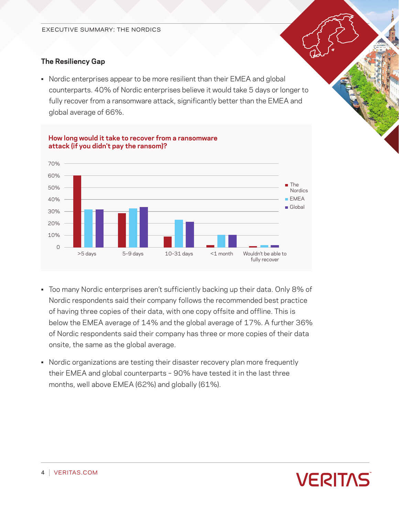## **The Resiliency Gap**

• Nordic enterprises appear to be more resilient than their EMEA and global counterparts. 40% of Nordic enterprises believe it would take 5 days or longer to fully recover from a ransomware attack, significantly better than the EMEA and global average of 66%.



#### **How long would it take to recover from a ransomware attack (if you didn't pay the ransom)?**

- Too many Nordic enterprises aren't sufficiently backing up their data. Only 8% of Nordic respondents said their company follows the recommended best practice of having three copies of their data, with one copy offsite and offline. This is below the EMEA average of 14% and the global average of 17%. A further 36% of Nordic respondents said their company has three or more copies of their data onsite, the same as the global average.
- Nordic organizations are testing their disaster recovery plan more frequently their EMEA and global counterparts – 90% have tested it in the last three months, well above EMEA (62%) and globally (61%).